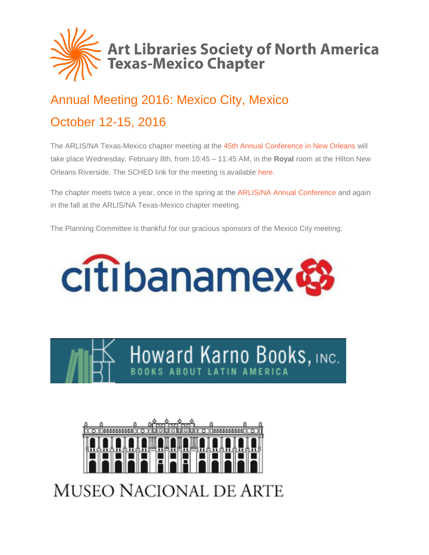

# Annual Meeting 2016: Mexico City, Mexico October 12-15, 2016

The ARLIS/NA Texas-Mexico chapter meeting at the 45th Annual [Conference in New Orleans](http://www.arlisna.org/neworleans2017/index.php) will take place Wednesday, February 8th, from 10:45 – 11:45 AM, in the **Royal** room at the Hilton New Orleans Riverside. The SCHED link for the meeting is available [here.](http://sched.co/8orG)

The chapter meets twice a year, once in the spring at the [ARLIS/NA Annual Conference](https://arlisna.org/news/conferences/) and again in the fall at the ARLIS/NA Texas-Mexico chapter meeting.

The Planning Committee is thankful for our gracious sponsors of the Mexico City meeting:







**MUSEO NACIONAL DE ARTE**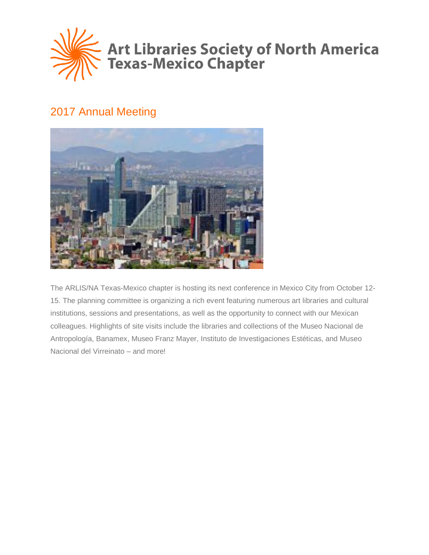

# 2017 Annual Meeting



The ARLIS/NA Texas-Mexico chapter is hosting its next conference in Mexico City from October 12- 15. The planning committee is organizing a rich event featuring numerous art libraries and cultural institutions, sessions and presentations, as well as the opportunity to connect with our Mexican colleagues. Highlights of site visits include the libraries and collections of the Museo Nacional de Antropología, Banamex, Museo Franz Mayer, Instituto de Investigaciones Estéticas, and Museo Nacional del Virreinato – and more!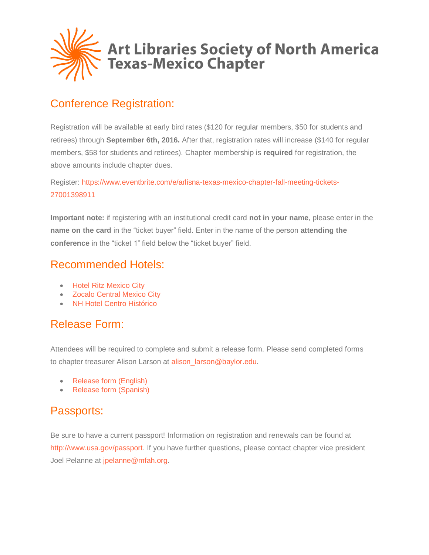

## Conference Registration:

Registration will be available at early bird rates (\$120 for regular members, \$50 for students and retirees) through **September 6th, 2016.** After that, registration rates will increase (\$140 for regular members, \$58 for students and retirees). Chapter membership is **required** for registration, the above amounts include chapter dues.

Register: [https://www.eventbrite.com/e/arlisna-texas-mexico-chapter-fall-meeting-tickets-](https://www.eventbrite.com/e/arlisna-texas-mexico-chapter-fall-meeting-tickets-27001398911)[27001398911](https://www.eventbrite.com/e/arlisna-texas-mexico-chapter-fall-meeting-tickets-27001398911)

**Important note:** if registering with an institutional credit card **not in your name**, please enter in the **name on the card** in the "ticket buyer" field. Enter in the name of the person **attending the conference** in the "ticket 1" field below the "ticket buyer" field.

### Recommended Hotels:

- [Hotel Ritz Mexico City](http://www.hotelritz.mx/en)
- [Zocalo Central Mexico City](http://www.centralhoteles.com/default-en.html)
- [NH Hotel Centro Histórico](http://www.nh-hotels.com/hotel/nh-mexico-city-centro-historico)

## Release Form:

Attendees will be required to complete and submit a release form. Please send completed forms to chapter treasurer Alison Larson at [alison\\_larson@baylor.edu.](mailto:alison_larson@baylor.edu)

- [Release form \(English\)](http://texas-mexico.arlisna.org/wp-content/uploads/2016/08/release-form-mexico-city-2016-english.docx)
- [Release form \(Spanish\)](http://texas-mexico.arlisna.org/wp-content/uploads/2016/08/release-form-mexico-city-2016-spanish.docx)

### Passports:

Be sure to have a current passport! Information on registration and renewals can be found at [http://www.usa.gov/passport.](http://www.usa.gov/passport) If you have further questions, please contact chapter vice president Joel Pelanne at [jpelanne@mfah.org.](mailto:jpelanne@mfah.org)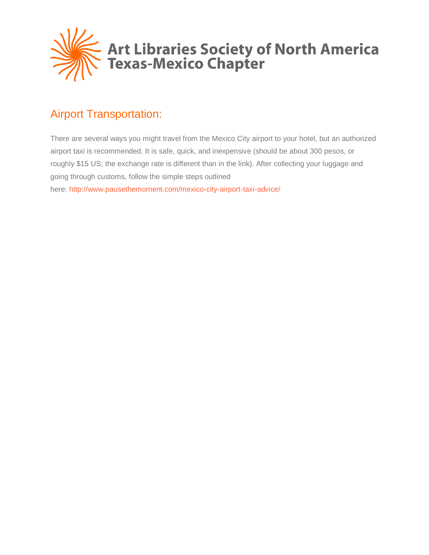

# Airport Transportation:

There are several ways you might travel from the Mexico City airport to your hotel, but an authorized airport taxi is recommended. It is safe, quick, and inexpensive (should be about 300 pesos, or roughly \$15 US; the exchange rate is different than in the link). After collecting your luggage and going through customs, follow the simple steps outlined here: <http://www.pausethemoment.com/mexico-city-airport-taxi-advice/>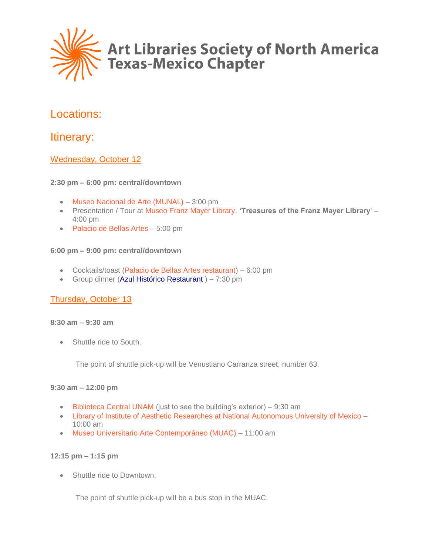

### Locations:

### Itinerary:

#### Wednesday, October 12

#### **2:30 pm – 6:00 pm: central/downtown**

- [Museo Nacional de Arte \(MUNAL\)](http://www.munal.com.mx/) 3:00 pm
- Presentation / Tour at [Museo Franz Mayer Library,](http://ingles.franzmayer.org.mx/biblioteca.php) **'Treasures of the Franz Mayer Library**' 4:00 pm
- [Palacio de Bellas Artes](http://www.palacio.bellasartes.gob.mx/) 5:00 pm

#### **6:00 pm – 9:00 pm: central/downtown**

- Cocktails/toast [\(Palacio de Bellas Artes restaurant\)](http://www.palacio.bellasartes.gob.mx/servcios/clt.html) 6:00 pm
- Group dinner [\(Azul Histórico Restaurant](http://www.azul.rest/) ) 7:30 pm

#### Thursday, October 13

#### **8:30 am – 9:30 am**

Shuttle ride to South.

The point of shuttle pick-up will be Venustiano Carranza street, number 63.

#### **9:30 am – 12:00 pm**

- [Biblioteca Central UNAM](http://bibliotecacentral.unam.mx/) (just to see the building's exterior) 9:30 am
- [Library of Institute of Aesthetic Researches at National Autonomous University of Mexico](http://www.esteticas.unam.mx/biblioteca) 10:00 am
- [Museo Universitario Arte Contemporáneo \(MUAC\)](http://muac.unam.mx/) 11:00 am

#### **12:15 pm – 1:15 pm**

• Shuttle ride to Downtown.

The point of shuttle pick-up will be a bus stop in the MUAC.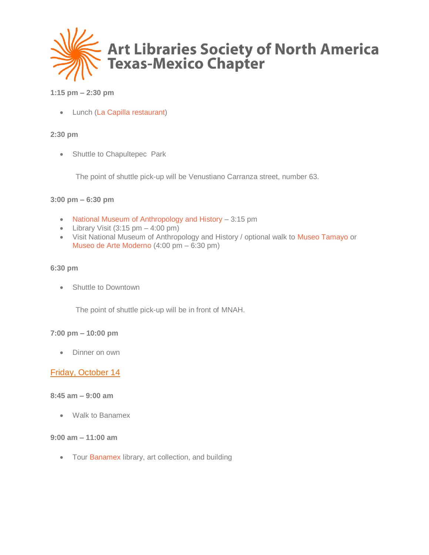

#### **1:15 pm – 2:30 pm**

• Lunch [\(La Capilla restaurant\)](http://www.hotelgillow.com/restaurante-mexicodf.php)

#### **2:30 pm**

• Shuttle to Chapultepec Park

The point of shuttle pick-up will be Venustiano Carranza street, number 63.

#### **3:00 pm – 6:30 pm**

- [National Museum of Anthropology and History](http://www.mna.inah.gob.mx/index.html) 3:15 pm
- Library Visit  $(3:15 \text{ pm} 4:00 \text{ pm})$
- Visit National Museum of Anthropology and History / optional walk to [Museo Tamayo](http://www.museotamayo.org/) or [Museo de Arte Moderno](http://www.museoartemoderno.com/) (4:00 pm – 6:30 pm)

#### **6:30 pm**

• Shuttle to Downtown

The point of shuttle pick-up will be in front of MNAH.

#### **7:00 pm – 10:00 pm**

• Dinner on own

#### Friday, October 14

#### **8:45 am – 9:00 am**

• Walk to Banamex

#### **9:00 am – 11:00 am**

• Tour [Banamex](http://fomentoculturalbanamex.org/) library, art collection, and building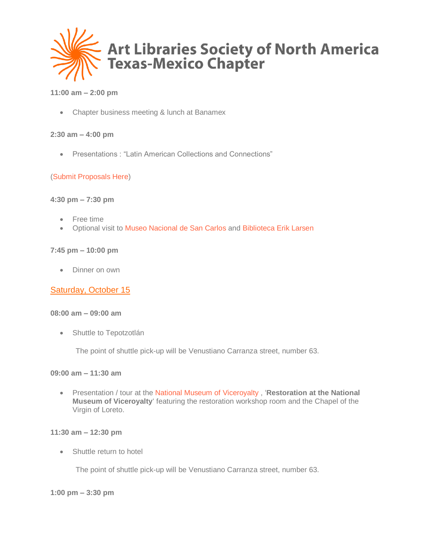

#### **11:00 am – 2:00 pm**

• Chapter business meeting & lunch at Banamex

#### **2:30 am – 4:00 pm**

• Presentations : "Latin American Collections and Connections"

#### [\(Submit Proposals Here\)](http://bit.ly/2aO8KFB)

#### **4:30 pm – 7:30 pm**

- Free time
- Optional visit to [Museo Nacional de San Carlos](http://mnsancarlos.com/) and [Biblioteca Erik Larsen](http://mnsancarlos.com/biblioteca.htm)

#### **7:45 pm – 10:00 pm**

• Dinner on own

#### Saturday, October 15

#### **08:00 am – 09:00 am**

• Shuttle to Tepotzotlán

The point of shuttle pick-up will be Venustiano Carranza street, number 63.

#### **09:00 am – 11:30 am**

• Presentation / tour at the [National Museum of Viceroyalty](http://virreinato.inah.gob.mx/) , '**Restoration at the National Museum of Viceroyalty**' featuring the restoration workshop room and the Chapel of the Virgin of Loreto.

#### **11:30 am – 12:30 pm**

• Shuttle return to hotel

The point of shuttle pick-up will be Venustiano Carranza street, number 63.

#### **1:00 pm – 3:30 pm**